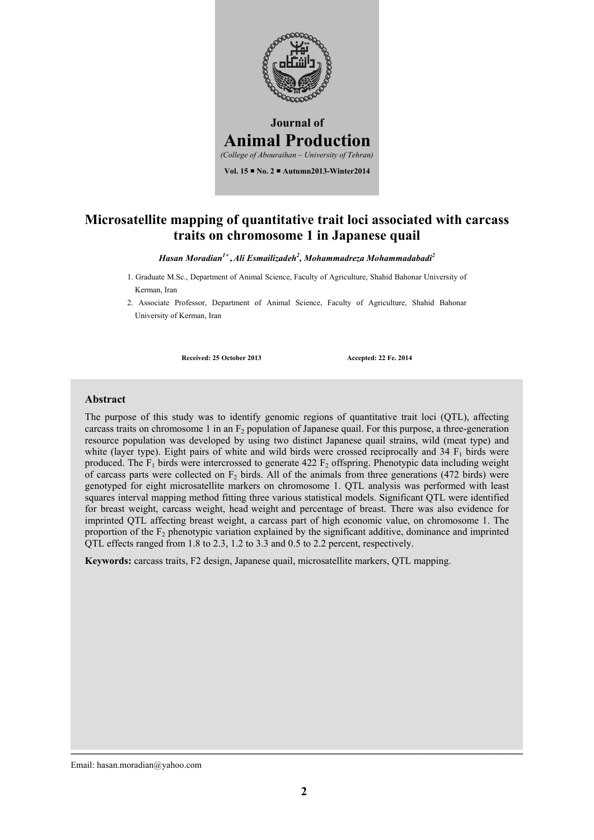

### **Microsatellite mapping of quantitative trait loci associated with carcass traits on chromosome 1 in Japanese quail**

*Hasan Moradian1* **,***Ali Esmailizadeh2 , Mohammadreza Mohammadabadi2*

1. Graduate M.Sc., Department of Animal Science, Faculty of Agriculture, Shahid Bahonar University of Kerman, Iran

2. Associate Professor, Department of Animal Science, Faculty of Agriculture, Shahid Bahonar University of Kerman, Iran

**Received: 25 October 2013 Accepted: 22 Fe. 2014**

#### **Abstract**

The purpose of this study was to identify genomic regions of quantitative trait loci (QTL), affecting carcass traits on chromosome 1 in an  $F<sub>2</sub>$  population of Japanese quail. For this purpose, a three-generation resource population was developed by using two distinct Japanese quail strains, wild (meat type) and white (layer type). Eight pairs of white and wild birds were crossed reciprocally and 34  $F_1$  birds were produced. The  $F_1$  birds were intercrossed to generate 422  $F_2$  offspring. Phenotypic data including weight of carcass parts were collected on  $F_2$  birds. All of the animals from three generations (472 birds) were genotyped for eight microsatellite markers on chromosome 1. QTL analysis was performed with least squares interval mapping method fitting three various statistical models. Significant QTL were identified for breast weight, carcass weight, head weight and percentage of breast. There was also evidence for imprinted QTL affecting breast weight, a carcass part of high economic value, on chromosome 1. The proportion of the  $F_2$  phenotypic variation explained by the significant additive, dominance and imprinted QTL effects ranged from 1.8 to 2.3, 1.2 to 3.3 and 0.5 to 2.2 percent, respectively.

**Keywords:** carcass traits, F2 design, Japanese quail, microsatellite markers, QTL mapping.

Email: hasan.moradian@yahoo.com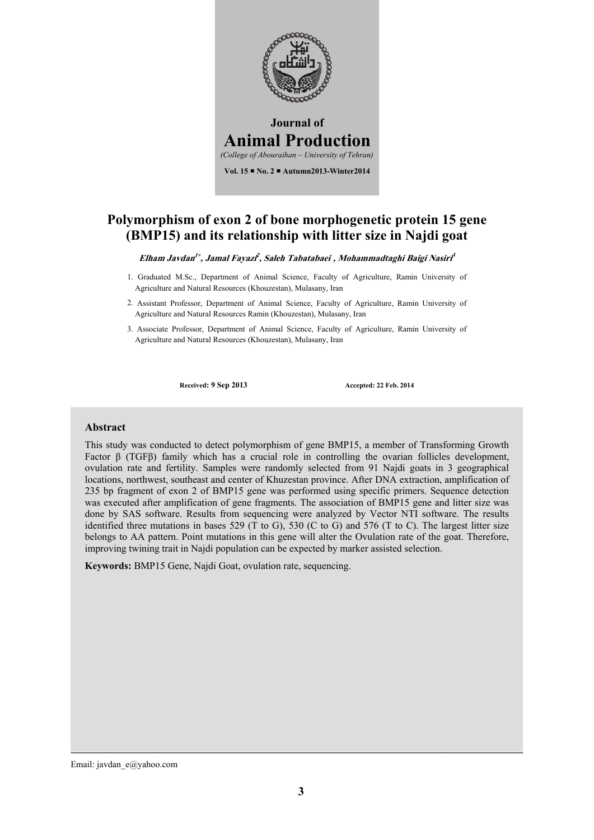

### **Polymorphism of exon 2 of bone morphogenetic protein 15 gene (BMP15) and its relationship with litter size in Najdi goat**

**Elham Javdan<sup>1</sup> , Jamal Fayazi<sup>2</sup> , Saleh Tabatabaei , Mohammadtaghi Baigi Nasiri<sup>3</sup>** *3* 

- 1. Graduated M.Sc., Department of Animal Science, Faculty of Agriculture, Ramin University of Agriculture and Natural Resources (Khouzestan), Mulasany, Iran
- 2. Assistant Professor, Department of Animal Science, Faculty of Agriculture, Ramin University of Agriculture and Natural Resources Ramin (Khouzestan), Mulasany, Iran
- 3. Associate Professor, Department of Animal Science, Faculty of Agriculture, Ramin University of Agriculture and Natural Resources (Khouzestan), Mulasany, Iran

**Received: 9 Sep 2013 Accepted: 22 Feb. 2014**

#### **Abstract**

This study was conducted to detect polymorphism of gene BMP15, a member of Transforming Growth Factor β (TGFβ) family which has a crucial role in controlling the ovarian follicles development, ovulation rate and fertility. Samples were randomly selected from 91 Najdi goats in 3 geographical locations, northwest, southeast and center of Khuzestan province. After DNA extraction, amplification of 235 bp fragment of exon 2 of BMP15 gene was performed using specific primers. Sequence detection was executed after amplification of gene fragments. The association of BMP15 gene and litter size was done by SAS software. Results from sequencing were analyzed by Vector NTI software. The results identified three mutations in bases 529 (T to G), 530 (C to G) and 576 (T to C). The largest litter size belongs to AA pattern. Point mutations in this gene will alter the Ovulation rate of the goat. Therefore, improving twining trait in Najdi population can be expected by marker assisted selection.

**Keywords:** BMP15 Gene, Najdi Goat, ovulation rate, sequencing.

Email: javdan\_e@yahoo.com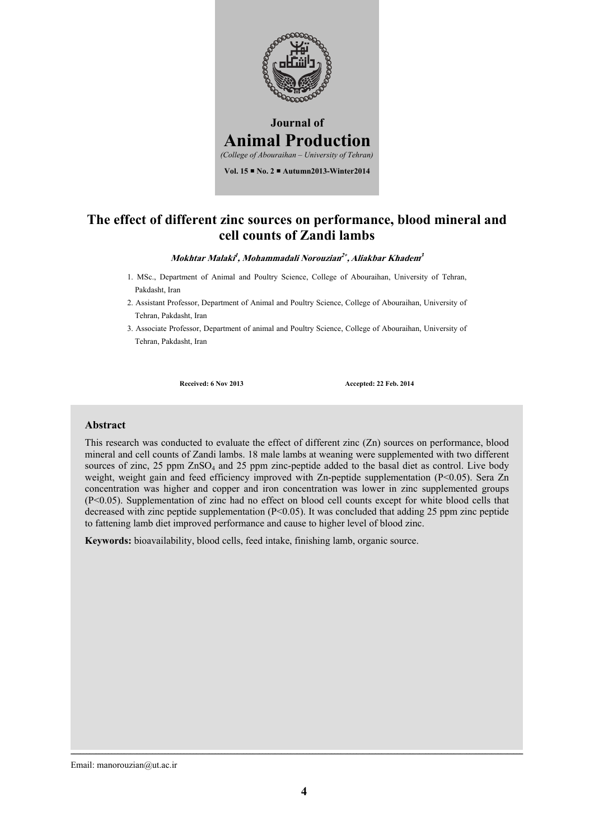

# **The effect of different zinc sources on performance, blood mineral and cell counts of Zandi lambs**

#### **Mokhtar Malaki<sup>1</sup> , Mohammadali Norouzian<sup>2</sup> , Aliakbar Khadem<sup>3</sup>**

- 1. MSc., Department of Animal and Poultry Science, College of Abouraihan, University of Tehran, Pakdasht, Iran
- 2. Assistant Professor, Department of Animal and Poultry Science, College of Abouraihan, University of Tehran, Pakdasht, Iran
- 3. Associate Professor, Department of animal and Poultry Science, College of Abouraihan, University of Tehran, Pakdasht, Iran

**Received: 6 Nov 2013 Accepted: 22 Feb. 2014**

#### **Abstract**

This research was conducted to evaluate the effect of different zinc (Zn) sources on performance, blood mineral and cell counts of Zandi lambs. 18 male lambs at weaning were supplemented with two different sources of zinc, 25 ppm  $ZnSO_4$  and 25 ppm zinc-peptide added to the basal diet as control. Live body weight, weight gain and feed efficiency improved with Zn-peptide supplementation (P<0.05). Sera Zn concentration was higher and copper and iron concentration was lower in zinc supplemented groups (P<0.05). Supplementation of zinc had no effect on blood cell counts except for white blood cells that decreased with zinc peptide supplementation (P<0.05). It was concluded that adding 25 ppm zinc peptide to fattening lamb diet improved performance and cause to higher level of blood zinc.

**Keywords:** bioavailability, blood cells, feed intake, finishing lamb, organic source.

Email: manorouzian@ut.ac.ir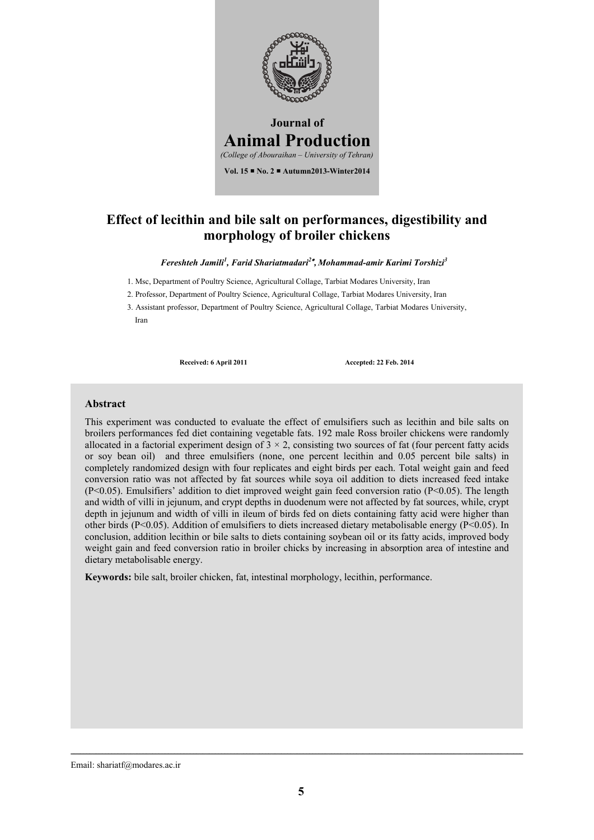

# **Effect of lecithin and bile salt on performances, digestibility and morphology of broiler chickens**

*Fereshteh Jamili<sup>1</sup> , Farid Shariatmadari2 , Mohammad-amir Karimi Torshizi3* 

- 1. Msc, Department of Poultry Science, Agricultural Collage, Tarbiat Modares University, Iran
- 2. Professor, Department of Poultry Science, Agricultural Collage, Tarbiat Modares University, Iran
- 3. Assistant professor, Department of Poultry Science, Agricultural Collage, Tarbiat Modares University, Iran

**Received: 6 April 2011 Accepted: 22 Feb. 2014**

#### **Abstract**

This experiment was conducted to evaluate the effect of emulsifiers such as lecithin and bile salts on broilers performances fed diet containing vegetable fats. 192 male Ross broiler chickens were randomly allocated in a factorial experiment design of  $3 \times 2$ , consisting two sources of fat (four percent fatty acids or soy bean oil) and three emulsifiers (none, one percent lecithin and 0.05 percent bile salts) in completely randomized design with four replicates and eight birds per each. Total weight gain and feed conversion ratio was not affected by fat sources while soya oil addition to diets increased feed intake (P<0.05). Emulsifiers' addition to diet improved weight gain feed conversion ratio (P<0.05). The length and width of villi in jejunum, and crypt depths in duodenum were not affected by fat sources, while, crypt depth in jejunum and width of villi in ileum of birds fed on diets containing fatty acid were higher than other birds (P<0.05). Addition of emulsifiers to diets increased dietary metabolisable energy (P<0.05). In conclusion, addition lecithin or bile salts to diets containing soybean oil or its fatty acids, improved body weight gain and feed conversion ratio in broiler chicks by increasing in absorption area of intestine and dietary metabolisable energy.

**Keywords:** bile salt, broiler chicken, fat, intestinal morphology, lecithin, performance.

Email: shariatf@modares.ac.ir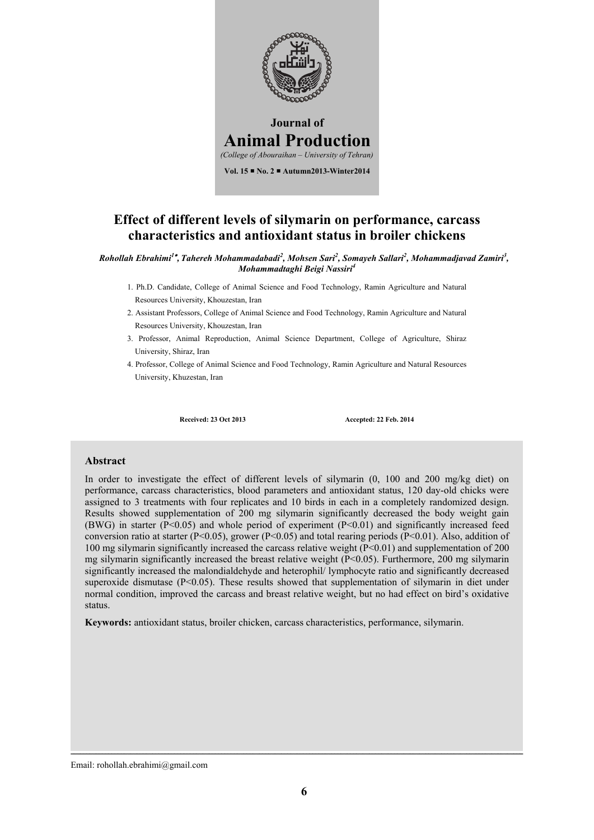

### **Effect of different levels of silymarin on performance, carcass characteristics and antioxidant status in broiler chickens**

*Rohollah Ebrahimi<sup>1</sup> , Tahereh Mohammadabadi<sup>2</sup> , Mohsen Sari<sup>2</sup> , Somayeh Sallari<sup>2</sup> , Mohammadjavad Zamiri3 , Mohammadtaghi Beigi Nassiri<sup>4</sup>*

- 1. Ph.D. Candidate, College of Animal Science and Food Technology, Ramin Agriculture and Natural Resources University, Khouzestan, Iran
- 2. Assistant Professors, College of Animal Science and Food Technology, Ramin Agriculture and Natural Resources University, Khouzestan, Iran
- 3. Professor, Animal Reproduction, Animal Science Department, College of Agriculture, Shiraz University, Shiraz, Iran
- 4. Professor, College of Animal Science and Food Technology, Ramin Agriculture and Natural Resources University, Khuzestan, Iran

**Received: 23 Oct 2013 Accepted: 22 Feb. 2014**

#### **Abstract**

In order to investigate the effect of different levels of silymarin (0, 100 and 200 mg/kg diet) on performance, carcass characteristics, blood parameters and antioxidant status, 120 day-old chicks were assigned to 3 treatments with four replicates and 10 birds in each in a completely randomized design. Results showed supplementation of 200 mg silymarin significantly decreased the body weight gain (BWG) in starter ( $P<0.05$ ) and whole period of experiment ( $P<0.01$ ) and significantly increased feed conversion ratio at starter (P<0.05), grower (P<0.05) and total rearing periods (P<0.01). Also, addition of 100 mg silymarin significantly increased the carcass relative weight (P<0.01) and supplementation of 200 mg silymarin significantly increased the breast relative weight  $(P<0.05)$ . Furthermore, 200 mg silymarin significantly increased the malondialdehyde and heterophil/ lymphocyte ratio and significantly decreased superoxide dismutase ( $P<0.05$ ). These results showed that supplementation of silymarin in diet under normal condition, improved the carcass and breast relative weight, but no had effect on bird's oxidative status.

**Keywords:** antioxidant status, broiler chicken, carcass characteristics, performance, silymarin.

Email: rohollah.ebrahimi@gmail.com